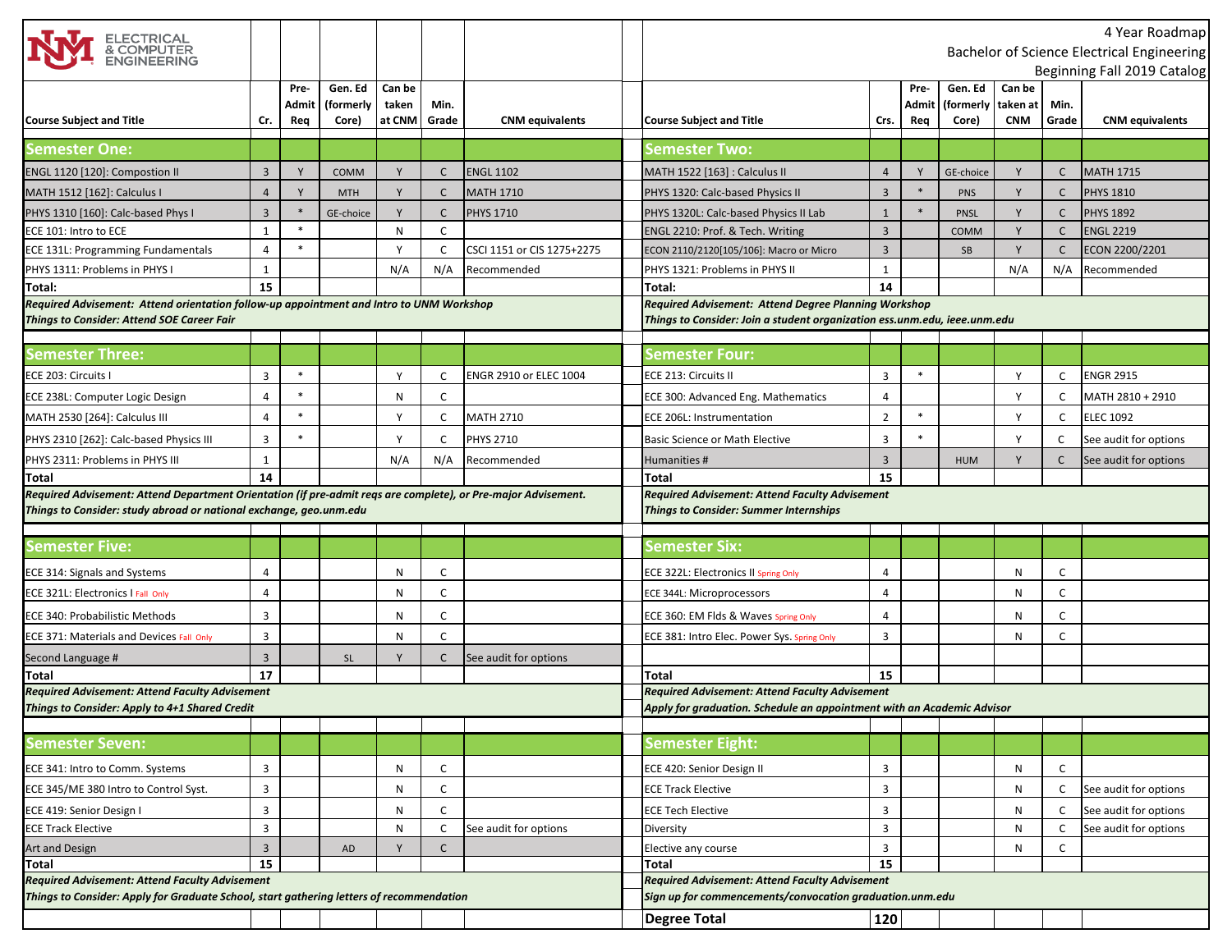| ELECTRICAL<br>& COMPUTER<br>ENGINEERING                                                                       |                |        |             |        |              |                            |                                                                           |                |        |             |                        |              | 4 Year Roadmap<br>Bachelor of Science Electrical Engineering |
|---------------------------------------------------------------------------------------------------------------|----------------|--------|-------------|--------|--------------|----------------------------|---------------------------------------------------------------------------|----------------|--------|-------------|------------------------|--------------|--------------------------------------------------------------|
|                                                                                                               |                |        |             |        |              |                            |                                                                           |                |        |             |                        |              | Beginning Fall 2019 Catalog                                  |
|                                                                                                               |                | Pre-   | Gen. Ed     | Can be |              |                            |                                                                           |                | Pre-   | Gen. Ed     | Can be                 |              |                                                              |
| <b>Course Subject and Title</b>                                                                               |                | Admit  | (formerly   | taken  | Min.         | <b>CNM</b> equivalents     |                                                                           |                | Admit  | (formerly   | taken at<br><b>CNM</b> | Min.         |                                                              |
|                                                                                                               | Cr.            | Req    | Core)       | at CNM | Grade        |                            | <b>Course Subject and Title</b>                                           | Crs.           | Req    | Core)       |                        | Grade        | <b>CNM</b> equivalents                                       |
| <b>Semester One:</b>                                                                                          |                |        |             |        |              |                            | Semest <u>er Two:</u>                                                     |                |        |             |                        |              |                                                              |
| ENGL 1120 [120]: Compostion II                                                                                | $\overline{3}$ | Y      | <b>COMM</b> |        | C            | <b>ENGL 1102</b>           | MATH 1522 [163] : Calculus II                                             | $\overline{4}$ | Y      | GE-choice   |                        | C            | <b>MATH 1715</b>                                             |
| MATH 1512 [162]: Calculus I                                                                                   | $\overline{4}$ | Y      | <b>MTH</b>  | Y      | C            | <b>MATH 1710</b>           | PHYS 1320: Calc-based Physics II                                          | $\overline{3}$ |        | <b>PNS</b>  | Y                      | C            | <b>PHYS 1810</b>                                             |
| PHYS 1310 [160]: Calc-based Phys I                                                                            | 3              |        | GE-choice   |        | C            | <b>PHYS 1710</b>           | PHYS 1320L: Calc-based Physics II Lab                                     | $\mathbf{1}$   |        | <b>PNSL</b> |                        | $\mathsf{C}$ | <b>PHYS 1892</b>                                             |
| ECE 101: Intro to ECE                                                                                         | $\mathbf{1}$   | $\ast$ |             | N      | $\mathsf{C}$ |                            | ENGL 2210: Prof. & Tech. Writing                                          | $\overline{3}$ |        | <b>COMM</b> | Y                      | $\mathsf{C}$ | <b>ENGL 2219</b>                                             |
| ECE 131L: Programming Fundamentals                                                                            | 4              | $\ast$ |             | Y      | C            | CSCI 1151 or CIS 1275+2275 | ECON 2110/2120[105/106]: Macro or Micro                                   | $\overline{3}$ |        | SB          | Y                      | C            | ECON 2200/2201                                               |
| PHYS 1311: Problems in PHYS I                                                                                 | $\mathbf{1}$   |        |             | N/A    | N/A          | Recommended                | PHYS 1321: Problems in PHYS II                                            | $\mathbf{1}$   |        |             | N/A                    | N/A          | Recommended                                                  |
| Total:                                                                                                        | 15             |        |             |        |              |                            | Total:                                                                    | 14             |        |             |                        |              |                                                              |
| Required Advisement: Attend orientation follow-up appointment and Intro to UNM Workshop                       |                |        |             |        |              |                            | <b>Required Advisement: Attend Degree Planning Workshop</b>               |                |        |             |                        |              |                                                              |
| Things to Consider: Attend SOE Career Fair                                                                    |                |        |             |        |              |                            | Things to Consider: Join a student organization ess.unm.edu, ieee.unm.edu |                |        |             |                        |              |                                                              |
|                                                                                                               |                |        |             |        |              |                            |                                                                           |                |        |             |                        |              |                                                              |
| Semester Three:                                                                                               |                |        |             |        |              |                            | Semester Four:                                                            |                |        |             |                        |              |                                                              |
| ECE 203: Circuits I                                                                                           | 3              | $\ast$ |             |        | C            | ENGR 2910 or ELEC 1004     | ECE 213: Circuits II                                                      | 3              | $\ast$ |             | <sup>V</sup>           | C            | <b>ENGR 2915</b>                                             |
| ECE 238L: Computer Logic Design                                                                               | $\overline{4}$ | $\ast$ |             | N      | C            |                            | ECE 300: Advanced Eng. Mathematics                                        | 4              |        |             | <sup>V</sup>           | C            | MATH 2810 + 2910                                             |
| MATH 2530 [264]: Calculus III                                                                                 | $\overline{4}$ |        |             |        | C            | <b>MATH 2710</b>           | <b>ECE 206L: Instrumentation</b>                                          | $\overline{2}$ |        |             | Y                      | C            | <b>ELEC 1092</b>                                             |
| PHYS 2310 [262]: Calc-based Physics III                                                                       | 3              |        |             | Y      | C            | <b>PHYS 2710</b>           | <b>Basic Science or Math Elective</b>                                     | 3              |        |             | Y                      | C            | See audit for options                                        |
| PHYS 2311: Problems in PHYS III                                                                               | 1              |        |             | N/A    | N/A          | Recommended                | Humanities #                                                              | $\overline{3}$ |        | <b>HUM</b>  |                        | C            | See audit for options                                        |
| Total                                                                                                         | 14             |        |             |        |              |                            | Total                                                                     | 15             |        |             |                        |              |                                                              |
| Required Advisement: Attend Department Orientation (if pre-admit reqs are complete), or Pre-major Advisement. |                |        |             |        |              |                            | <b>Required Advisement: Attend Faculty Advisement</b>                     |                |        |             |                        |              |                                                              |
| Things to Consider: study abroad or national exchange, geo.unm.edu                                            |                |        |             |        |              |                            | <b>Things to Consider: Summer Internships</b>                             |                |        |             |                        |              |                                                              |
|                                                                                                               |                |        |             |        |              |                            |                                                                           |                |        |             |                        |              |                                                              |
| <b>Semester Five:</b>                                                                                         |                |        |             |        |              |                            | <b>Semester Six:</b>                                                      |                |        |             |                        |              |                                                              |
| ECE 314: Signals and Systems                                                                                  | 4              |        |             | N      | C            |                            | ECE 322L: Electronics II Spring Only                                      | 4              |        |             | N                      | C            |                                                              |
| ECE 321L: Electronics I Fall Only                                                                             | $\overline{4}$ |        |             | N      | C            |                            | ECE 344L: Microprocessors                                                 | 4              |        |             | N                      | C            |                                                              |
| ECE 340: Probabilistic Methods                                                                                | $\overline{3}$ |        |             | N      | C            |                            | ECE 360: EM Flds & Waves Spring Only                                      | 4              |        |             | N                      | $\mathsf{C}$ |                                                              |
| ECE 371: Materials and Devices Fall Only                                                                      | $\overline{3}$ |        |             | N      | C            |                            | ECE 381: Intro Elec. Power Sys. Spring Only                               | 3              |        |             | N                      | C            |                                                              |
| Second Language #                                                                                             | $\overline{3}$ |        | <b>SL</b>   | Y      | $\mathsf{C}$ | See audit for options      |                                                                           |                |        |             |                        |              |                                                              |
| Total                                                                                                         | 17             |        |             |        |              |                            | Total                                                                     | 15             |        |             |                        |              |                                                              |
| Required Advisement: Attend Faculty Advisement                                                                |                |        |             |        |              |                            | <b>Required Advisement: Attend Faculty Advisement</b>                     |                |        |             |                        |              |                                                              |
| Things to Consider: Apply to 4+1 Shared Credit                                                                |                |        |             |        |              |                            | Apply for graduation. Schedule an appointment with an Academic Advisor    |                |        |             |                        |              |                                                              |
|                                                                                                               |                |        |             |        |              |                            |                                                                           |                |        |             |                        |              |                                                              |
| <b>Semester Seven:</b>                                                                                        |                |        |             |        |              |                            | Semester Eight:                                                           |                |        |             |                        |              |                                                              |
| ECE 341: Intro to Comm. Systems                                                                               | $\overline{3}$ |        |             | N      | C            |                            | ECE 420: Senior Design II                                                 | 3              |        |             | N                      | C            |                                                              |
| ECE 345/ME 380 Intro to Control Syst.                                                                         | $\overline{3}$ |        |             | N      | C            |                            | <b>ECE Track Elective</b>                                                 | 3              |        |             | N                      | C            | See audit for options                                        |
| ECE 419: Senior Design I                                                                                      | $\overline{3}$ |        |             | N      | C            |                            | <b>ECE Tech Elective</b>                                                  | 3              |        |             | N                      | C            | See audit for options                                        |
| <b>ECE Track Elective</b>                                                                                     | $\overline{3}$ |        |             | N      | $\mathsf C$  | See audit for options      | Diversity                                                                 | 3              |        |             | N                      | $\mathsf{C}$ | See audit for options                                        |
| Art and Design                                                                                                | $\overline{3}$ |        | AD          | Y      | C            |                            | Elective any course                                                       | 3              |        |             | N                      | C            |                                                              |
| Total                                                                                                         | 15             |        |             |        |              |                            | <b>Total</b>                                                              | 15             |        |             |                        |              |                                                              |
| Required Advisement: Attend Faculty Advisement                                                                |                |        |             |        |              |                            | Required Advisement: Attend Faculty Advisement                            |                |        |             |                        |              |                                                              |
| Things to Consider: Apply for Graduate School, start gathering letters of recommendation                      |                |        |             |        |              |                            | Sign up for commencements/convocation graduation.unm.edu                  |                |        |             |                        |              |                                                              |
|                                                                                                               |                |        |             |        |              |                            | Degree Total                                                              | 120            |        |             |                        |              |                                                              |